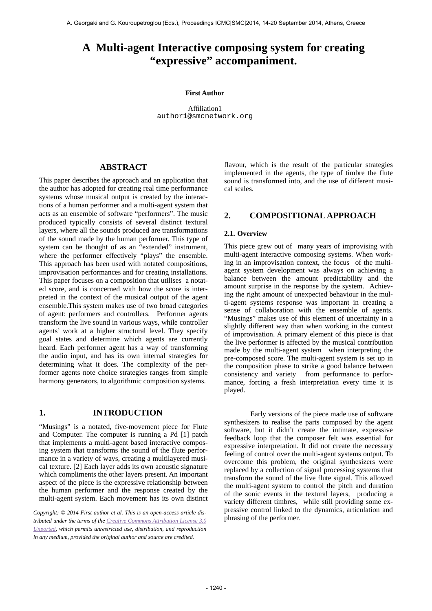# **A Multi-agent Interactive composing system for creating "expressive" accompaniment.**

#### **First Author**

Affiliation1 [author1@smcnetwork.org](mailto:author1@smcnetwork.org?subject=smc%25202010%2520paper)

## **ABSTRACT**

This paper describes the approach and an application that the author has adopted for creating real time performance systems whose musical output is created by the interactions of a human performer and a multi-agent system that acts as an ensemble of software "performers". The music produced typically consists of several distinct textural layers, where all the sounds produced are transformations of the sound made by the human performer. This type of system can be thought of as an "extended" instrument, where the performer effectively "plays" the ensemble. This approach has been used with notated compositions, improvisation performances and for creating installations. This paper focuses on a composition that utilises a notated score, and is concerned with how the score is interpreted in the context of the musical output of the agent ensemble.This system makes use of two broad categories of agent: performers and controllers. Performer agents transform the live sound in various ways, while controller agents' work at a higher structural level. They specify goal states and determine which agents are currently heard. Each performer agent has a way of transforming the audio input, and has its own internal strategies for determining what it does. The complexity of the performer agents note choice strategies ranges from simple harmony generators, to algorithmic composition systems.

## **1. INTRODUCTION**

"Musings" is a notated, five-movement piece for Flute and Computer. The computer is running a Pd [1] patch that implements a multi-agent based interactive composing system that transforms the sound of the flute performance in a variety of ways, creating a multilayered musical texture. [2] Each layer adds its own acoustic signature which compliments the other layers present. An important aspect of the piece is the expressive relationship between the human performer and the response created by the multi-agent system. Each movement has its own distinct

*Copyright: © 2014 First author et al. This is an open-access article dis[tributed under the terms of the Creative Commons Attribution License 3.0](http://creativecommons.org/licenses/by/3.0/) Unported, which permits unrestricted use, distribution, and reproduction in any medium, provided the original author and source are credited.*

flavour, which is the result of the particular strategies implemented in the agents, the type of timbre the flute sound is transformed into, and the use of different musical scales.

## **2. COMPOSITIONAL APPROACH**

#### **2.1. Overview**

This piece grew out of many years of improvising with multi-agent interactive composing systems. When working in an improvisation context, the focus of the multiagent system development was always on achieving a balance between the amount predictability and the amount surprise in the response by the system. Achieving the right amount of unexpected behaviour in the multi-agent systems response was important in creating a sense of collaboration with the ensemble of agents. "Musings" makes use of this element of uncertainty in a slightly different way than when working in the context of improvisation. A primary element of this piece is that the live performer is affected by the musical contribution made by the multi-agent system when interpreting the pre-composed score. The multi-agent system is set up in the composition phase to strike a good balance between consistency and variety from performance to performance, forcing a fresh interpretation every time it is played.

 Early versions of the piece made use of software synthesizers to realise the parts composed by the agent software, but it didn't create the intimate, expressive feedback loop that the composer felt was essential for expressive interpretation. It did not create the necessary feeling of control over the multi-agent systems output. To overcome this problem, the original synthesizers were replaced by a collection of signal processing systems that transform the sound of the live flute signal. This allowed the multi-agent system to control the pitch and duration of the sonic events in the textural layers, producing a variety different timbres, while still providing some expressive control linked to the dynamics, articulation and phrasing of the performer.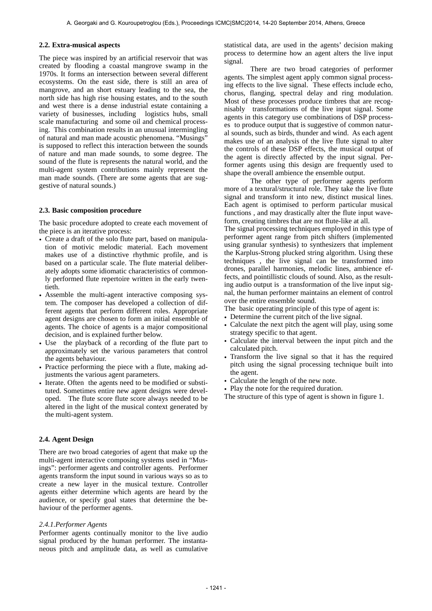#### **2.2. Extra-musical aspects**

The piece was inspired by an artificial reservoir that was created by flooding a coastal mangrove swamp in the 1970s. It forms an intersection between several different ecosystems. On the east side, there is still an area of mangrove, and an short estuary leading to the sea, the north side has high rise housing estates, and to the south and west there is a dense industrial estate containing a variety of businesses, including logistics hubs, small scale manufacturing and some oil and chemical processing. This combination results in an unusual intermingling of natural and man made acoustic phenomena. "Musings" is supposed to reflect this interaction between the sounds of nature and man made sounds, to some degree. The sound of the flute is represents the natural world, and the multi-agent system contributions mainly represent the man made sounds. (There are some agents that are suggestive of natural sounds.)

#### **2.3. Basic composition procedure**

The basic procedure adopted to create each movement of the piece is an iterative process:

- Create a draft of the solo flute part, based on manipulation of motivic melodic material. Each movement makes use of a distinctive rhythmic profile, and is based on a particular scale. The flute material deliberately adopts some idiomatic characteristics of commonly performed flute repertoire written in the early twentieth.
- Assemble the multi-agent interactive composing system. The composer has developed a collection of different agents that perform different roles. Appropriate agent designs are chosen to form an initial ensemble of agents. The choice of agents is a major compositional decision, and is explained further below.
- Use the playback of a recording of the flute part to approximately set the various parameters that control the agents behaviour.
- Practice performing the piece with a flute, making adjustments the various agent parameters.
- Iterate. Often the agents need to be modified or substituted. Sometimes entire new agent designs were developed. The flute score flute score always needed to be altered in the light of the musical context generated by the multi-agent system.

#### **2.4. Agent Design**

There are two broad categories of agent that make up the multi-agent interactive composing systems used in "Musings": performer agents and controller agents. Performer agents transform the input sound in various ways so as to create a new layer in the musical texture. Controller agents either determine which agents are heard by the audience, or specify goal states that determine the behaviour of the performer agents.

#### *2.4.1.Performer Agents*

Performer agents continually monitor to the live audio signal produced by the human performer. The instantaneous pitch and amplitude data, as well as cumulative statistical data, are used in the agents' decision making process to determine how an agent alters the live input signal.

 There are two broad categories of performer agents. The simplest agent apply common signal processing effects to the live signal. These effects include echo, chorus, flanging, spectral delay and ring modulation. Most of these processes produce timbres that are recognisably transformations of the live input signal. Some agents in this category use combinations of DSP processes to produce output that is suggestive of common natural sounds, such as birds, thunder and wind. As each agent makes use of an analysis of the live flute signal to alter the controls of these DSP effects, the musical output of the agent is directly affected by the input signal. Performer agents using this design are frequently used to shape the overall ambience the ensemble output.

 The other type of performer agents perform more of a textural/structural role. They take the live flute signal and transform it into new, distinct musical lines. Each agent is optimised to perform particular musical functions , and may drastically alter the flute input waveform, creating timbres that are not flute-like at all.

The signal processing techniques employed in this type of performer agent range from pitch shifters (implemented using granular synthesis) to synthesizers that implement the Karplus-Strong plucked string algorithm. Using these techniques , the live signal can be transformed into drones, parallel harmonies, melodic lines, ambience effects, and pointillistic clouds of sound. Also, as the resulting audio output is a transformation of the live input signal, the human performer maintains an element of control over the entire ensemble sound.

The basic operating principle of this type of agent is:

- Determine the current pitch of the live signal.
- Calculate the next pitch the agent will play, using some strategy specific to that agent.
- Calculate the interval between the input pitch and the calculated pitch.
- Transform the live signal so that it has the required pitch using the signal processing technique built into the agent.
- Calculate the length of the new note.
- Play the note for the required duration.

The structure of this type of agent is shown in figure 1.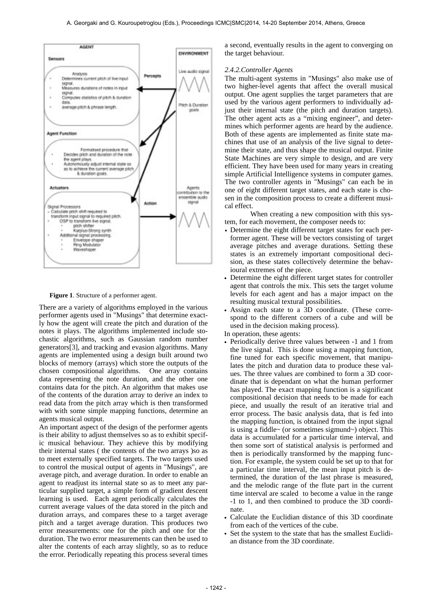

**Figure 1**. Structure of a performer agent.

There are a variety of algorithms employed in the various performer agents used in "Musings" that determine exactly how the agent will create the pitch and duration of the notes it plays. The algorithms implemented include stochastic algorithms, such as Gaussian random number generators[3], and tracking and evasion algorithms. Many agents are implemented using a design built around two blocks of memory (arrays) which store the outputs of the chosen compositional algorithms. One array contains data representing the note duration, and the other one contains data for the pitch. An algorithm that makes use of the contents of the duration array to derive an index to read data from the pitch array which is then transformed with with some simple mapping functions, determine an agents musical output.

An important aspect of the design of the performer agents is their ability to adjust themselves so as to exhibit specific musical behaviour. They achieve this by modifying their internal states ( the contents of the two arrays )so as to meet externally specified targets. The two targets used to control the musical output of agents in "Musings", are average pitch, and average duration. In order to enable an agent to readjust its internal state so as to meet any particular supplied target, a simple form of gradient descent learning is used. Each agent periodically calculates the current average values of the data stored in the pitch and duration arrays, and compares these to a target average pitch and a target average duration. This produces two error measurements: one for the pitch and one for the duration. The two error measurements can then be used to alter the contents of each array slightly, so as to reduce the error. Periodically repeating this process several times a second, eventually results in the agent to converging on the target behaviour.

### *2.4.2.Controller Agents*

The multi-agent systems in "Musings" also make use of two higher-level agents that affect the overall musical output. One agent supplies the target parameters that are used by the various agent performers to individually adjust their internal state (the pitch and duration targets). The other agent acts as a "mixing engineer", and determines which performer agents are heard by the audience. Both of these agents are implemented as finite state machines that use of an analysis of the live signal to determine their state, and thus shape the musical output. Finite State Machines are very simple to design, and are very efficient. They have been used for many years in creating simple Artificial Intelligence systems in computer games. The two controller agents in "Musings" can each be in one of eight different target states, and each state is chosen in the composition process to create a different musical effect.

 When creating a new composition with this system, for each movement, the composer needs to:

- Determine the eight different target states for each performer agent. These will be vectors consisting of target average pitches and average durations. Setting these states is an extremely important compositional decision, as these states collectively determine the behavioural extremes of the piece.
- Determine the eight different target states for controller agent that controls the mix. This sets the target volume levels for each agent and has a major impact on the resulting musical textural possibilities.
- Assign each state to a 3D coordinate. (These correspond to the different corners of a cube and will be used in the decision making process).
- In operation, these agents:
- Periodically derive three values between -1 and 1 from the live signal. This is done using a mapping function, fine tuned for each specific movement, that manipulates the pitch and duration data to produce these values. The three values are combined to form a 3D coordinate that is dependant on what the human performer has played. The exact mapping function is a significant compositional decision that needs to be made for each piece, and usually the result of an iterative trial and error process. The basic analysis data, that is fed into the mapping function, is obtained from the input signal is using a fiddle~ (or sometimes sigmund~) object. This data is accumulated for a particular time interval, and then some sort of statistical analysis is performed and then is periodically transformed by the mapping function. For example, the system could be set up to that for a particular time interval, the mean input pitch is determined, the duration of the last phrase is measured, and the melodic range of the flute part in the current time interval are scaled to become a value in the range -1 to 1, and then combined to produce the 3D coordinate.
- Calculate the Euclidian distance of this 3D coordinate from each of the vertices of the cube.
- Set the system to the state that has the smallest Euclidian distance from the 3D coordinate.